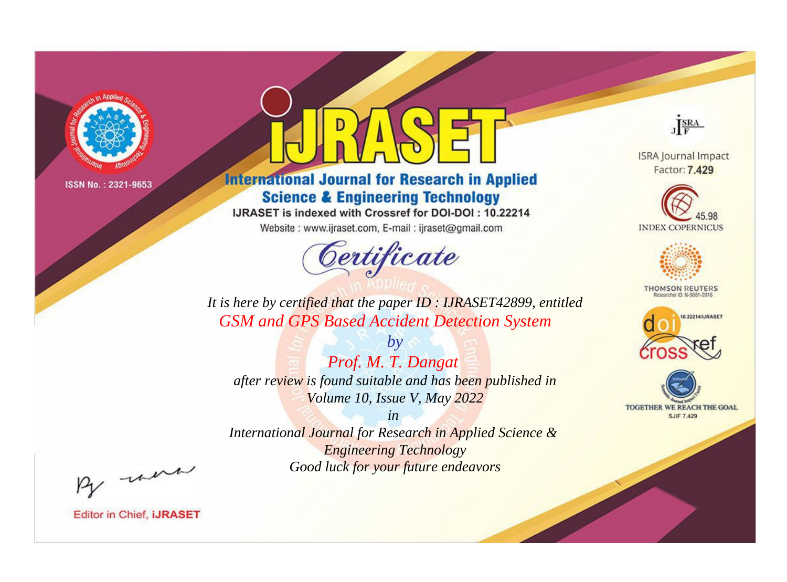

# **International Journal for Research in Applied Science & Engineering Technology**

IJRASET is indexed with Crossref for DOI-DOI: 10.22214

Website: www.ijraset.com, E-mail: ijraset@gmail.com



JERA

**ISRA Journal Impact** Factor: 7.429





**THOMSON REUTERS** 



TOGETHER WE REACH THE GOAL **SJIF 7.429** 

*It is here by certified that the paper ID : IJRASET42899, entitled GSM and GPS Based Accident Detection System*

*by Prof. M. T. Dangat after review is found suitable and has been published in Volume 10, Issue V, May 2022*

*in* 

*International Journal for Research in Applied Science & Engineering Technology Good luck for your future endeavors*

By morn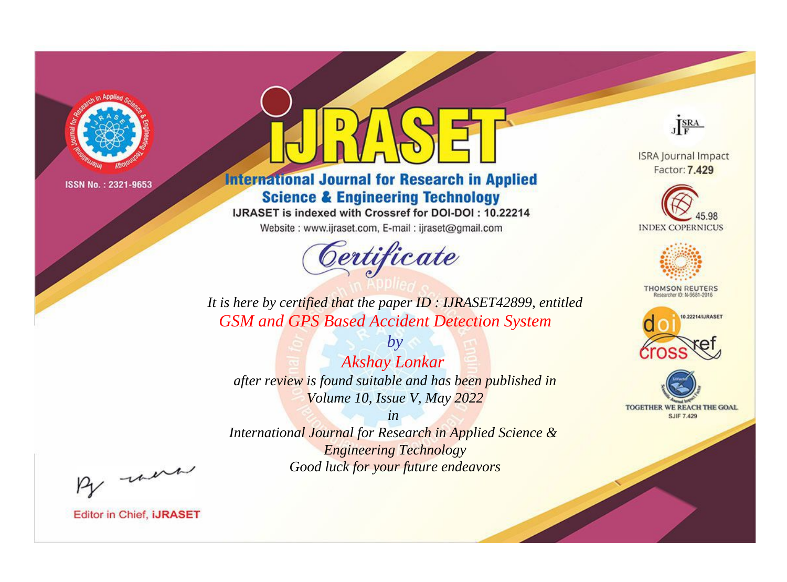

# **International Journal for Research in Applied Science & Engineering Technology**

IJRASET is indexed with Crossref for DOI-DOI: 10.22214

Website: www.ijraset.com, E-mail: ijraset@gmail.com



JERA

**ISRA Journal Impact** Factor: 7.429





**THOMSON REUTERS** 



TOGETHER WE REACH THE GOAL **SJIF 7.429** 

*It is here by certified that the paper ID : IJRASET42899, entitled GSM and GPS Based Accident Detection System*

*by Akshay Lonkar after review is found suitable and has been published in Volume 10, Issue V, May 2022*

*in* 

*International Journal for Research in Applied Science & Engineering Technology Good luck for your future endeavors*

By morn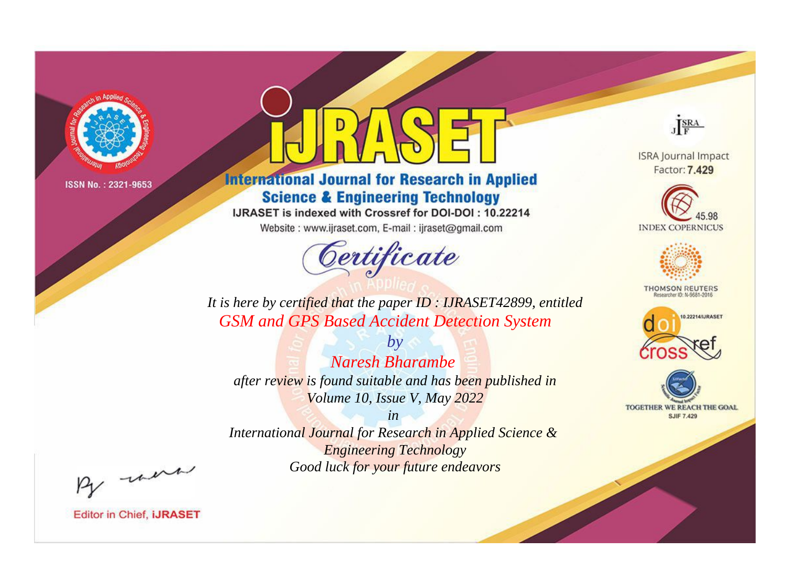

# **International Journal for Research in Applied Science & Engineering Technology**

IJRASET is indexed with Crossref for DOI-DOI: 10.22214

Website: www.ijraset.com, E-mail: ijraset@gmail.com



JERA

**ISRA Journal Impact** Factor: 7.429





**THOMSON REUTERS** 



TOGETHER WE REACH THE GOAL **SJIF 7.429** 

*It is here by certified that the paper ID : IJRASET42899, entitled GSM and GPS Based Accident Detection System*

*by Naresh Bharambe after review is found suitable and has been published in Volume 10, Issue V, May 2022*

*in* 

*International Journal for Research in Applied Science & Engineering Technology Good luck for your future endeavors*

By morn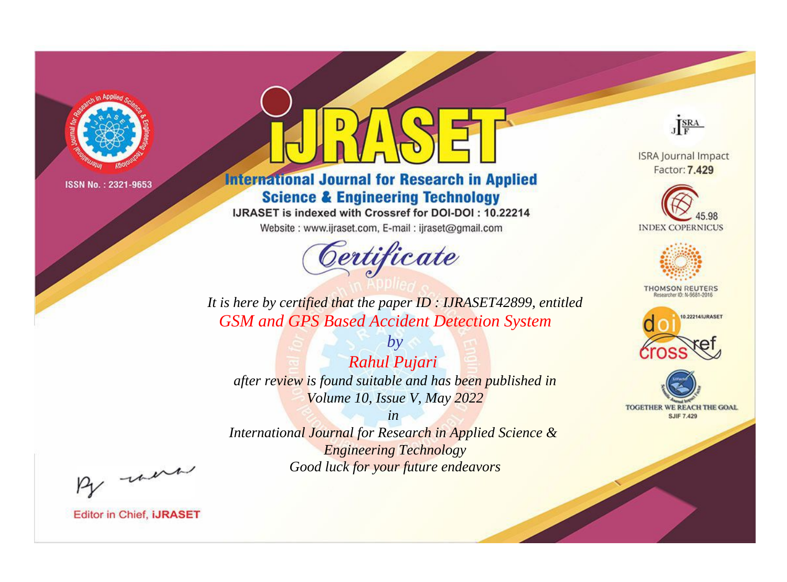

# **International Journal for Research in Applied Science & Engineering Technology**

IJRASET is indexed with Crossref for DOI-DOI: 10.22214

Website: www.ijraset.com, E-mail: ijraset@gmail.com



JERA

**ISRA Journal Impact** Factor: 7.429





**THOMSON REUTERS** 



TOGETHER WE REACH THE GOAL **SJIF 7.429** 

*It is here by certified that the paper ID : IJRASET42899, entitled GSM and GPS Based Accident Detection System*

*Rahul Pujari after review is found suitable and has been published in Volume 10, Issue V, May 2022*

*by*

*in* 

*International Journal for Research in Applied Science & Engineering Technology Good luck for your future endeavors*

By morn